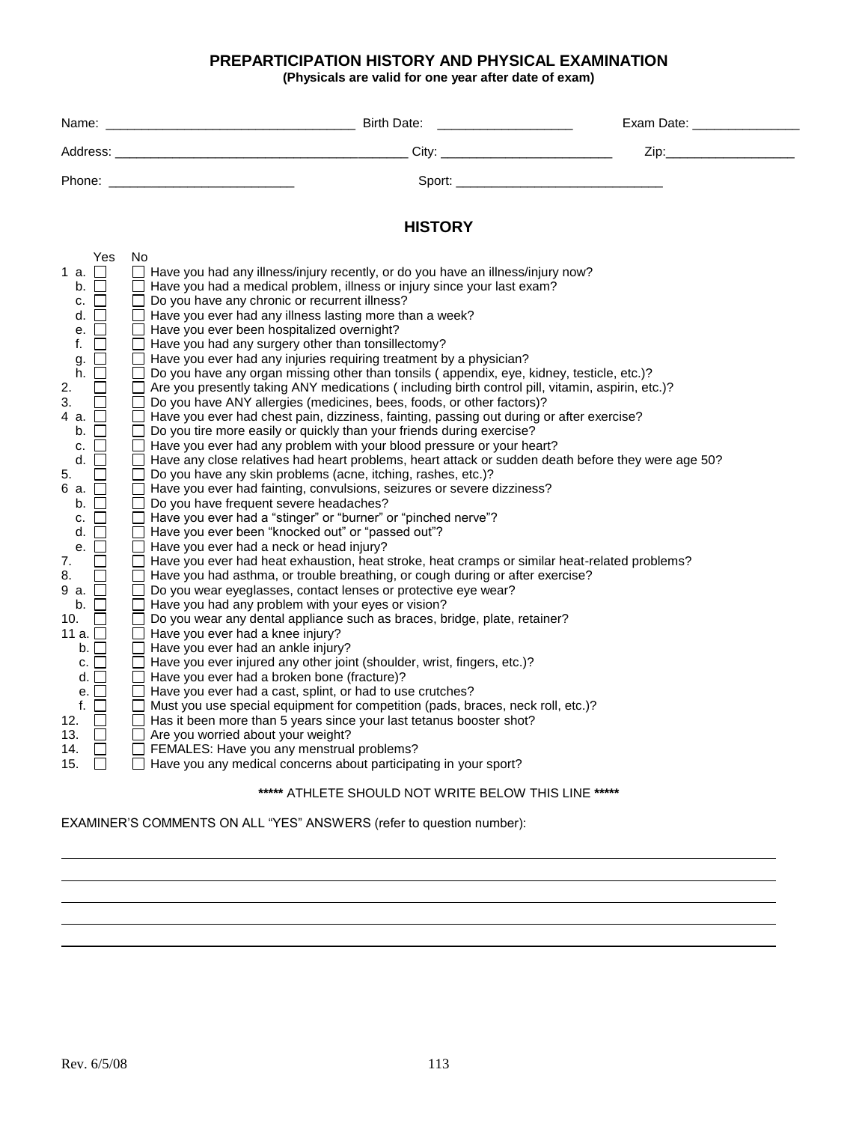## **PREPARTICIPATION HISTORY AND PHYSICAL EXAMINATION**

**(Physicals are valid for one year after date of exam)** 

|                                                                                                                                                                                                                                                                                                                                                                                                                                                                                                                                                                         | Name: Birth Date: Birth Date:                                                                                                                                                                                                                                                                                                                                                                                                                                                                                                                                                                                                                                                                                                                                                                                                                                                                                                                                                                                                                                                                                                                                                                                                                                                                                                                                                                                                                                                                                                                                                                                                                                                                                                                                                                                                                                                                                                                                                                                                                                                                                                                                                                                                                                                                                                                                                                                                                                                                                                                                                          |  |  |  |  |  |
|-------------------------------------------------------------------------------------------------------------------------------------------------------------------------------------------------------------------------------------------------------------------------------------------------------------------------------------------------------------------------------------------------------------------------------------------------------------------------------------------------------------------------------------------------------------------------|----------------------------------------------------------------------------------------------------------------------------------------------------------------------------------------------------------------------------------------------------------------------------------------------------------------------------------------------------------------------------------------------------------------------------------------------------------------------------------------------------------------------------------------------------------------------------------------------------------------------------------------------------------------------------------------------------------------------------------------------------------------------------------------------------------------------------------------------------------------------------------------------------------------------------------------------------------------------------------------------------------------------------------------------------------------------------------------------------------------------------------------------------------------------------------------------------------------------------------------------------------------------------------------------------------------------------------------------------------------------------------------------------------------------------------------------------------------------------------------------------------------------------------------------------------------------------------------------------------------------------------------------------------------------------------------------------------------------------------------------------------------------------------------------------------------------------------------------------------------------------------------------------------------------------------------------------------------------------------------------------------------------------------------------------------------------------------------------------------------------------------------------------------------------------------------------------------------------------------------------------------------------------------------------------------------------------------------------------------------------------------------------------------------------------------------------------------------------------------------------------------------------------------------------------------------------------------------|--|--|--|--|--|
|                                                                                                                                                                                                                                                                                                                                                                                                                                                                                                                                                                         |                                                                                                                                                                                                                                                                                                                                                                                                                                                                                                                                                                                                                                                                                                                                                                                                                                                                                                                                                                                                                                                                                                                                                                                                                                                                                                                                                                                                                                                                                                                                                                                                                                                                                                                                                                                                                                                                                                                                                                                                                                                                                                                                                                                                                                                                                                                                                                                                                                                                                                                                                                                        |  |  |  |  |  |
|                                                                                                                                                                                                                                                                                                                                                                                                                                                                                                                                                                         | Phone: New York Street, New York Street, New York Street, New York Street, New York Street, New York Street, New York Street, New York Street, New York Street, New York Street, New York Street, New York Street, New York St                                                                                                                                                                                                                                                                                                                                                                                                                                                                                                                                                                                                                                                                                                                                                                                                                                                                                                                                                                                                                                                                                                                                                                                                                                                                                                                                                                                                                                                                                                                                                                                                                                                                                                                                                                                                                                                                                                                                                                                                                                                                                                                                                                                                                                                                                                                                                         |  |  |  |  |  |
| <b>HISTORY</b>                                                                                                                                                                                                                                                                                                                                                                                                                                                                                                                                                          |                                                                                                                                                                                                                                                                                                                                                                                                                                                                                                                                                                                                                                                                                                                                                                                                                                                                                                                                                                                                                                                                                                                                                                                                                                                                                                                                                                                                                                                                                                                                                                                                                                                                                                                                                                                                                                                                                                                                                                                                                                                                                                                                                                                                                                                                                                                                                                                                                                                                                                                                                                                        |  |  |  |  |  |
| Yes<br>1 a. ∐<br>$\mathsf{b}$ . $\Box$<br>c. $\Box$<br>d. $\Box$<br>$\Box$<br>e.<br>$\Box$<br>f.<br>$\Box$<br>g.<br>$h.$ $\Box$<br>2.<br>$\overline{\phantom{a}}$<br>Ō<br>3.<br>4 a. $\Box$<br>b. $\Box$<br>c. $\overline{\Box}$<br>d. $\square$<br>5.<br>$\Box$<br>6 a. $\Box$<br>$b.$ $\Box$<br>c. $\Box$<br>d. $\square$<br>e. $\square$<br>7.<br>$\Box$<br>$\Box$<br>8.<br>9 a. $\Box$<br>$b.$ $\Box$<br>10. $\Box$<br>11 a. <b>□</b><br>b.<br>c. $\square$<br>d.<br>e. $\square$<br>f. $\overline{\Box}$<br>12. $\square$<br>ŏ<br>13.<br>$\Box$<br>14.<br>ō<br>15. | No.<br>$\Box$ Have you had any illness/injury recently, or do you have an illness/injury now?<br>□ Have you had a medical problem, illness or injury since your last exam?<br>$\Box$ Do you have any chronic or recurrent illness?<br>$\Box$ Have you ever had any illness lasting more than a week?<br>$\Box$ Have you ever been hospitalized overnight?<br>$\Box$ Have you had any surgery other than tonsillectomy?<br>$\Box$ Have you ever had any injuries requiring treatment by a physician?<br>$\Box$ Do you have any organ missing other than tonsils (appendix, eye, kidney, testicle, etc.)?<br>□ Are you presently taking ANY medications (including birth control pill, vitamin, aspirin, etc.)?<br>□ Do you have ANY allergies (medicines, bees, foods, or other factors)?<br>□ Have you ever had chest pain, dizziness, fainting, passing out during or after exercise?<br>$\Box$ Do you tire more easily or quickly than your friends during exercise?<br>Have you ever had any problem with your blood pressure or your heart?<br>$\Box$ Have any close relatives had heart problems, heart attack or sudden death before they were age 50?<br>$\Box$ Do you have any skin problems (acne, itching, rashes, etc.)?<br>□ Have you ever had fainting, convulsions, seizures or severe dizziness?<br>$\Box$ Do you have frequent severe headaches?<br>□ Have you ever had a "stinger" or "burner" or "pinched nerve"?<br>□ Have you ever been "knocked out" or "passed out"?<br>$\Box$ Have you ever had a neck or head injury?<br>□ Have you ever had heat exhaustion, heat stroke, heat cramps or similar heat-related problems?<br>Have you had asthma, or trouble breathing, or cough during or after exercise?<br>□ Do you wear eyeglasses, contact lenses or protective eye wear?<br>$\Box$ Have you had any problem with your eyes or vision?<br>$\Box$ Do you wear any dental appliance such as braces, bridge, plate, retainer?<br>$\Box$ Have you ever had a knee injury?<br>$\Box$ Have you ever had an ankle injury?<br>□ Have you ever injured any other joint (shoulder, wrist, fingers, etc.)?<br>Have you ever had a broken bone (fracture)?<br>$\Box$ Have you ever had a cast, splint, or had to use crutches?<br>□ Must you use special equipment for competition (pads, braces, neck roll, etc.)?<br>$\Box$ Has it been more than 5 years since your last tetanus booster shot?<br>$\Box$ Are you worried about your weight?<br>FEMALES: Have you any menstrual problems?<br>$\Box$ Have you any medical concerns about participating in your sport? |  |  |  |  |  |
| ***** ATHLETE SHOULD NOT WRITE BELOW THIS LINE *****                                                                                                                                                                                                                                                                                                                                                                                                                                                                                                                    |                                                                                                                                                                                                                                                                                                                                                                                                                                                                                                                                                                                                                                                                                                                                                                                                                                                                                                                                                                                                                                                                                                                                                                                                                                                                                                                                                                                                                                                                                                                                                                                                                                                                                                                                                                                                                                                                                                                                                                                                                                                                                                                                                                                                                                                                                                                                                                                                                                                                                                                                                                                        |  |  |  |  |  |
| EXAMINER'S COMMENTS ON ALL "YES" ANSWERS (refer to question number):                                                                                                                                                                                                                                                                                                                                                                                                                                                                                                    |                                                                                                                                                                                                                                                                                                                                                                                                                                                                                                                                                                                                                                                                                                                                                                                                                                                                                                                                                                                                                                                                                                                                                                                                                                                                                                                                                                                                                                                                                                                                                                                                                                                                                                                                                                                                                                                                                                                                                                                                                                                                                                                                                                                                                                                                                                                                                                                                                                                                                                                                                                                        |  |  |  |  |  |

l

l